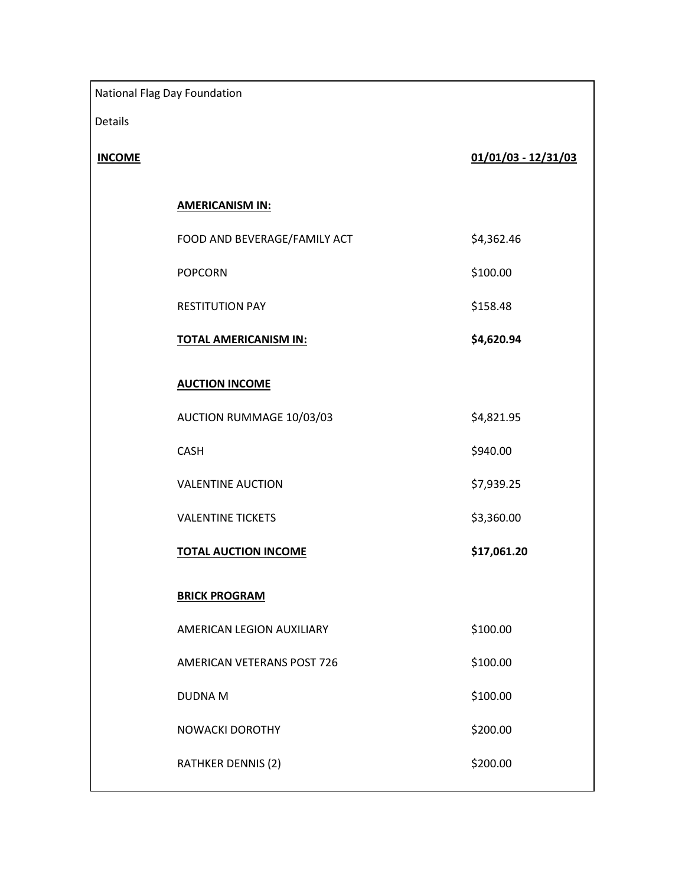National Flag Day Foundation

Details

## **INCOME 01/01/03 - 12/31/03**

### **AMERICANISM IN:**

| FOOD AND BEVERAGE/FAMILY ACT | \$4,362.46 |
|------------------------------|------------|
| <b>POPCORN</b>               | \$100.00   |
| <b>RESTITUTION PAY</b>       | \$158.48   |

**TOTAL AMERICANISM IN: \$4,620.94** 

# **AUCTION INCOME**

AUCTION RUMMAGE 10/03/03 \$4,821.95

CASH \$940.00

VALENTINE AUCTION \$7,939.25

VALENTINE TICKETS \$3,360.00

**TOTAL AUCTION INCOME \$17,061.20** 

# **BRICK PROGRAM**

AMERICAN LEGION AUXILIARY \$100.00 AMERICAN VETERANS POST 726 \$100.00

DUDNA M \$100.00 NOWACKI DOROTHY \$200.00 RATHKER DENNIS (2) \$200.00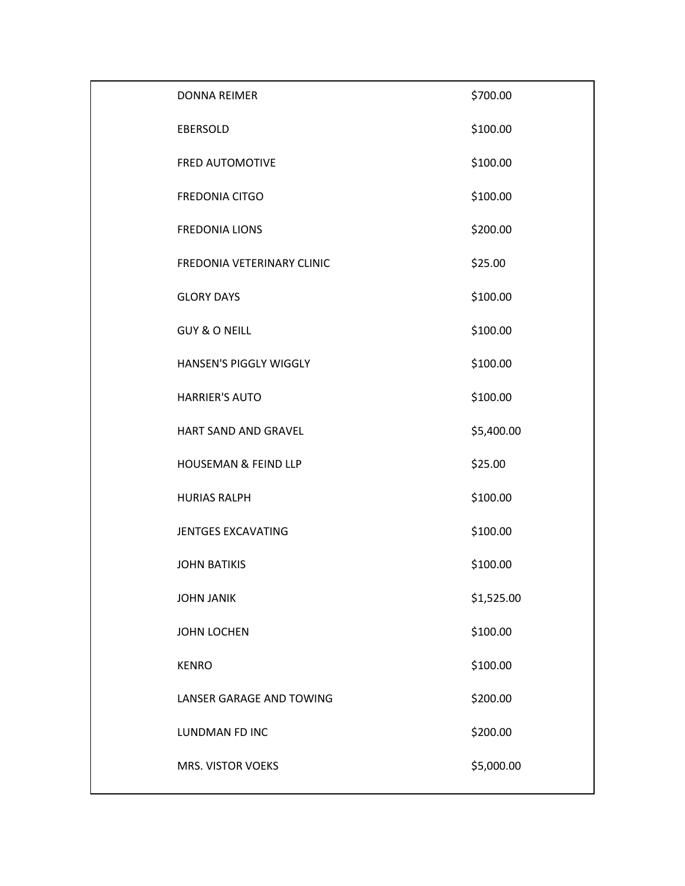| <b>DONNA REIMER</b>             | \$700.00   |
|---------------------------------|------------|
| EBERSOLD                        | \$100.00   |
| <b>FRED AUTOMOTIVE</b>          | \$100.00   |
| <b>FREDONIA CITGO</b>           | \$100.00   |
| <b>FREDONIA LIONS</b>           | \$200.00   |
| FREDONIA VETERINARY CLINIC      | \$25.00    |
| <b>GLORY DAYS</b>               | \$100.00   |
| <b>GUY &amp; O NEILL</b>        | \$100.00   |
| HANSEN'S PIGGLY WIGGLY          | \$100.00   |
| <b>HARRIER'S AUTO</b>           | \$100.00   |
| HART SAND AND GRAVEL            | \$5,400.00 |
| <b>HOUSEMAN &amp; FEIND LLP</b> | \$25.00    |
| <b>HURIAS RALPH</b>             | \$100.00   |
| <b>JENTGES EXCAVATING</b>       | \$100.00   |
| <b>JOHN BATIKIS</b>             | \$100.00   |
| <b>JOHN JANIK</b>               | \$1,525.00 |
| <b>JOHN LOCHEN</b>              | \$100.00   |
| <b>KENRO</b>                    | \$100.00   |
| LANSER GARAGE AND TOWING        | \$200.00   |
| LUNDMAN FD INC                  | \$200.00   |
| MRS. VISTOR VOEKS               | \$5,000.00 |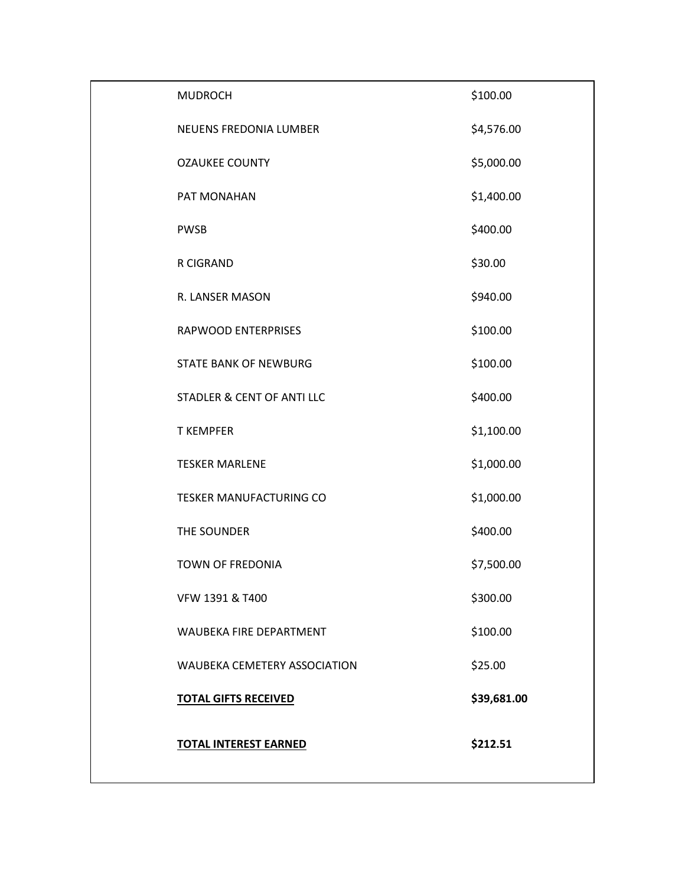| <b>MUDROCH</b>                        | \$100.00    |
|---------------------------------------|-------------|
| NEUENS FREDONIA LUMBER                | \$4,576.00  |
| <b>OZAUKEE COUNTY</b>                 | \$5,000.00  |
| PAT MONAHAN                           | \$1,400.00  |
| <b>PWSB</b>                           | \$400.00    |
| R CIGRAND                             | \$30.00     |
| R. LANSER MASON                       | \$940.00    |
| RAPWOOD ENTERPRISES                   | \$100.00    |
| <b>STATE BANK OF NEWBURG</b>          | \$100.00    |
| <b>STADLER &amp; CENT OF ANTI LLC</b> | \$400.00    |
| <b>T KEMPFER</b>                      | \$1,100.00  |
| <b>TESKER MARLENE</b>                 | \$1,000.00  |
| TESKER MANUFACTURING CO               | \$1,000.00  |
| THE SOUNDER                           | \$400.00    |
| <b>TOWN OF FREDONIA</b>               | \$7,500.00  |
| VFW 1391 & T400                       | \$300.00    |
| WAUBEKA FIRE DEPARTMENT               | \$100.00    |
| WAUBEKA CEMETERY ASSOCIATION          | \$25.00     |
| <b>TOTAL GIFTS RECEIVED</b>           | \$39,681.00 |
| <b>TOTAL INTEREST EARNED</b>          | \$212.51    |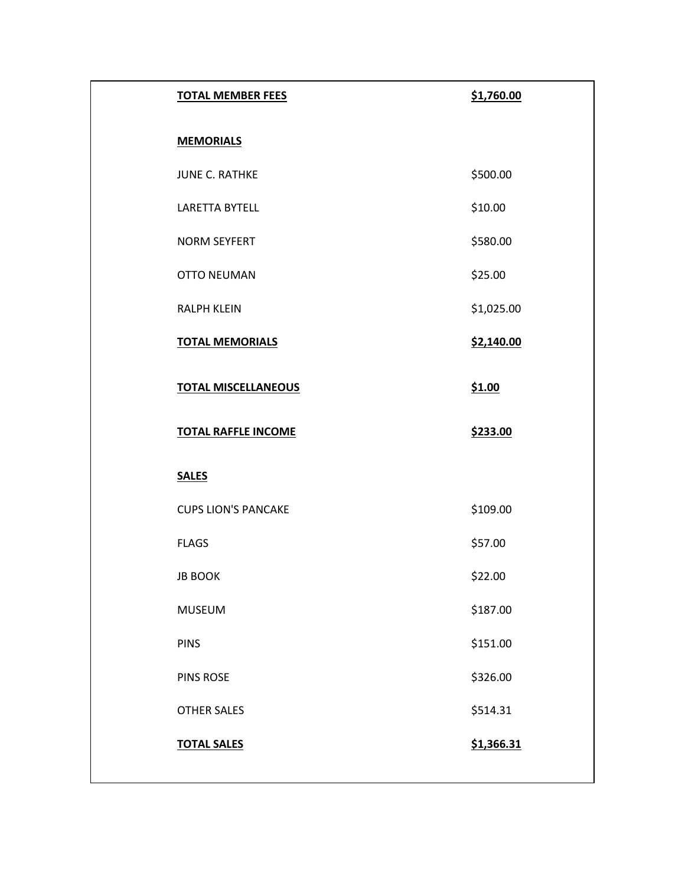| <b>TOTAL MEMBER FEES</b>   | \$1,760.00 |
|----------------------------|------------|
| <b>MEMORIALS</b>           |            |
| <b>JUNE C. RATHKE</b>      | \$500.00   |
| <b>LARETTA BYTELL</b>      | \$10.00    |
| <b>NORM SEYFERT</b>        | \$580.00   |
| <b>OTTO NEUMAN</b>         | \$25.00    |
| <b>RALPH KLEIN</b>         | \$1,025.00 |
| <b>TOTAL MEMORIALS</b>     | \$2,140.00 |
| <b>TOTAL MISCELLANEOUS</b> | \$1.00     |
| <b>TOTAL RAFFLE INCOME</b> | \$233.00   |
| <b>SALES</b>               |            |
| <b>CUPS LION'S PANCAKE</b> | \$109.00   |
| <b>FLAGS</b>               | \$57.00    |
| <b>JB BOOK</b>             | \$22.00    |
| <b>MUSEUM</b>              | \$187.00   |
| <b>PINS</b>                | \$151.00   |
| PINS ROSE                  | \$326.00   |
| <b>OTHER SALES</b>         | \$514.31   |
| <b>TOTAL SALES</b>         | \$1,366.31 |
|                            |            |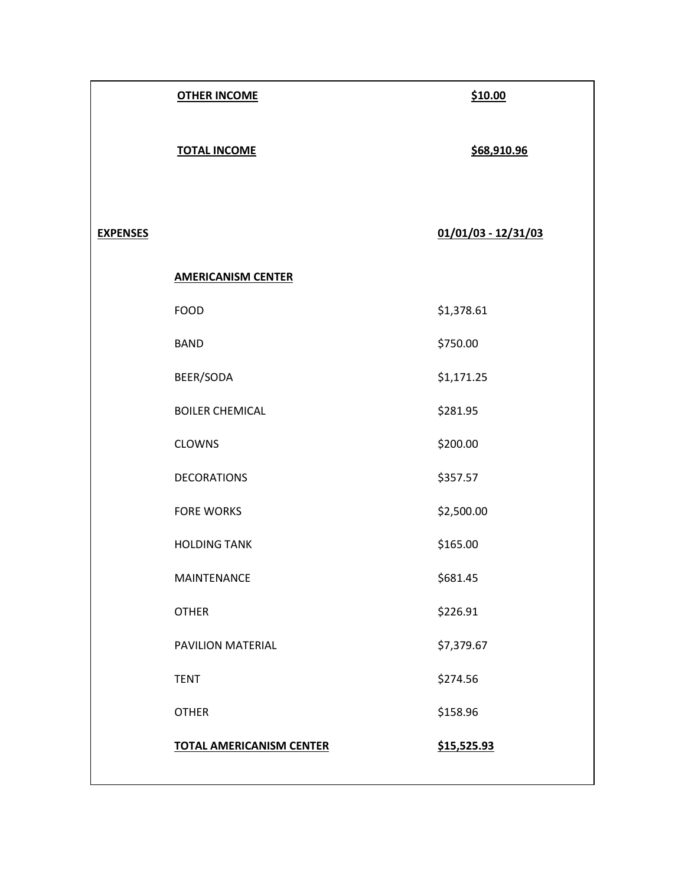|                 | <b>OTHER INCOME</b>             | \$10.00               |
|-----------------|---------------------------------|-----------------------|
|                 | <b>TOTAL INCOME</b>             | \$68,910.96           |
| <b>EXPENSES</b> |                                 | $01/01/03 - 12/31/03$ |
|                 | <b>AMERICANISM CENTER</b>       |                       |
|                 | <b>FOOD</b>                     | \$1,378.61            |
|                 | <b>BAND</b>                     | \$750.00              |
|                 | BEER/SODA                       | \$1,171.25            |
|                 | <b>BOILER CHEMICAL</b>          | \$281.95              |
|                 | <b>CLOWNS</b>                   | \$200.00              |
|                 | <b>DECORATIONS</b>              | \$357.57              |
|                 | <b>FORE WORKS</b>               | \$2,500.00            |
|                 | <b>HOLDING TANK</b>             | \$165.00              |
|                 | MAINTENANCE                     | \$681.45              |
|                 | <b>OTHER</b>                    | \$226.91              |
|                 | PAVILION MATERIAL               | \$7,379.67            |
|                 | <b>TENT</b>                     | \$274.56              |
|                 | <b>OTHER</b>                    | \$158.96              |
|                 | <b>TOTAL AMERICANISM CENTER</b> | \$15,525.93           |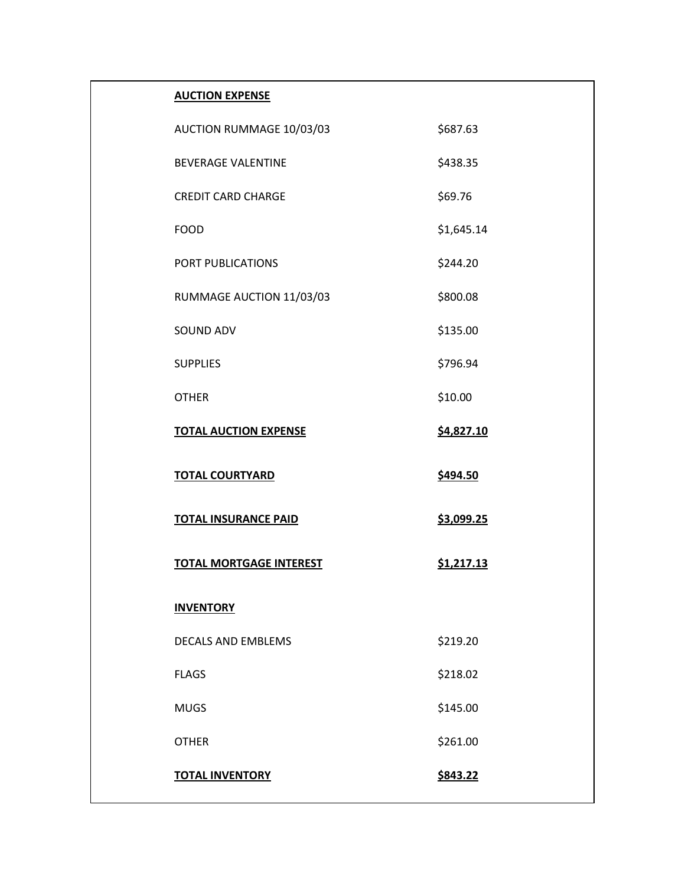| <b>AUCTION EXPENSE</b>         |            |
|--------------------------------|------------|
| AUCTION RUMMAGE 10/03/03       | \$687.63   |
| <b>BEVERAGE VALENTINE</b>      | \$438.35   |
| <b>CREDIT CARD CHARGE</b>      | \$69.76    |
| <b>FOOD</b>                    | \$1,645.14 |
| PORT PUBLICATIONS              | \$244.20   |
| RUMMAGE AUCTION 11/03/03       | \$800.08   |
| SOUND ADV                      | \$135.00   |
| <b>SUPPLIES</b>                | \$796.94   |
| <b>OTHER</b>                   | \$10.00    |
| <b>TOTAL AUCTION EXPENSE</b>   | \$4,827.10 |
| <b>TOTAL COURTYARD</b>         | \$494.50   |
| <b>TOTAL INSURANCE PAID</b>    | \$3,099.25 |
| <b>TOTAL MORTGAGE INTEREST</b> | \$1,217.13 |
| <b>INVENTORY</b>               |            |
| <b>DECALS AND EMBLEMS</b>      | \$219.20   |
| <b>FLAGS</b>                   | \$218.02   |
| <b>MUGS</b>                    | \$145.00   |
| <b>OTHER</b>                   | \$261.00   |
| <b>TOTAL INVENTORY</b>         | \$843.22   |
|                                |            |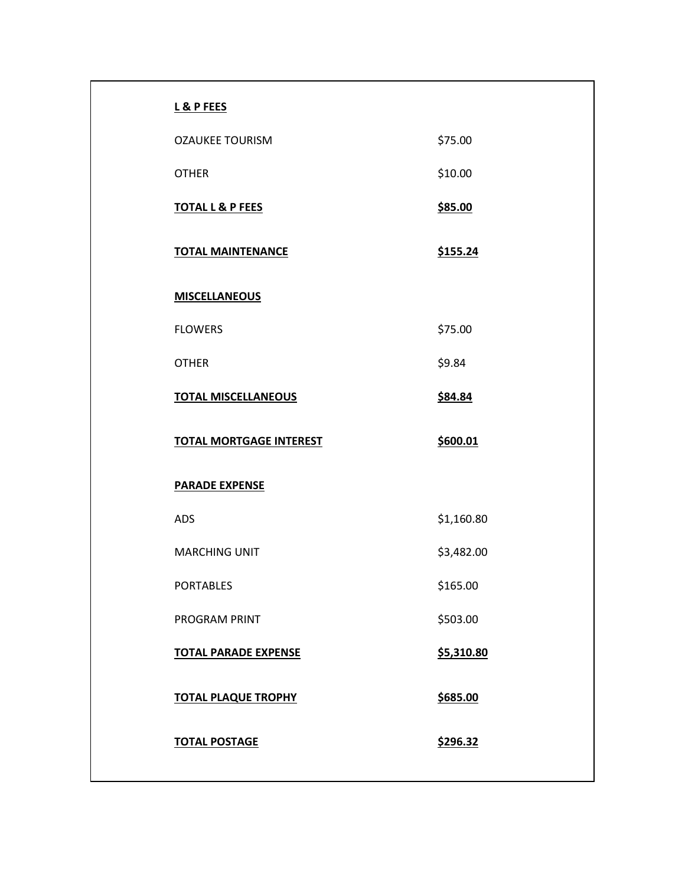| L& P FEES                      |            |
|--------------------------------|------------|
| <b>OZAUKEE TOURISM</b>         | \$75.00    |
| <b>OTHER</b>                   | \$10.00    |
| <b>TOTAL L &amp; P FEES</b>    | \$85.00    |
| <b>TOTAL MAINTENANCE</b>       | \$155.24   |
| <b>MISCELLANEOUS</b>           |            |
| <b>FLOWERS</b>                 | \$75.00    |
| <b>OTHER</b>                   | \$9.84     |
| <b>TOTAL MISCELLANEOUS</b>     | \$84.84    |
| <b>TOTAL MORTGAGE INTEREST</b> | \$600.01   |
| <b>PARADE EXPENSE</b>          |            |
| <b>ADS</b>                     | \$1,160.80 |
| <b>MARCHING UNIT</b>           | \$3,482.00 |
| <b>PORTABLES</b>               | \$165.00   |
| PROGRAM PRINT                  | \$503.00   |
| <b>TOTAL PARADE EXPENSE</b>    | \$5,310.80 |
| <b>TOTAL PLAQUE TROPHY</b>     | \$685.00   |
| <b>TOTAL POSTAGE</b>           | \$296.32   |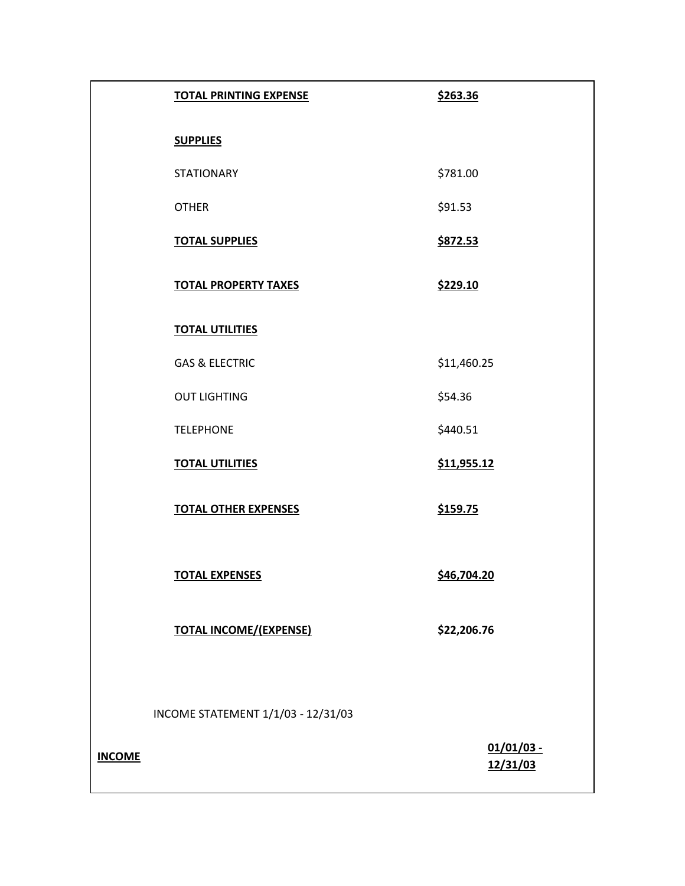|                                                                                                                               | <b>TOTAL PRINTING EXPENSE</b>      | \$263.36                 |
|-------------------------------------------------------------------------------------------------------------------------------|------------------------------------|--------------------------|
|                                                                                                                               | <b>SUPPLIES</b>                    |                          |
|                                                                                                                               | <b>STATIONARY</b>                  | \$781.00                 |
|                                                                                                                               | <b>OTHER</b>                       | \$91.53                  |
|                                                                                                                               | <b>TOTAL SUPPLIES</b>              | \$872.53                 |
|                                                                                                                               | <b>TOTAL PROPERTY TAXES</b>        | \$229.10                 |
|                                                                                                                               | <b>TOTAL UTILITIES</b>             |                          |
| <b>GAS &amp; ELECTRIC</b><br><b>OUT LIGHTING</b><br><b>TELEPHONE</b><br><b>TOTAL UTILITIES</b><br><b>TOTAL OTHER EXPENSES</b> |                                    | \$11,460.25              |
|                                                                                                                               |                                    | \$54.36                  |
|                                                                                                                               |                                    | \$440.51                 |
|                                                                                                                               |                                    | \$11,955.12              |
|                                                                                                                               |                                    | \$159.75                 |
|                                                                                                                               | <b>TOTAL EXPENSES</b>              | \$46,704.20              |
|                                                                                                                               | <b>TOTAL INCOME/(EXPENSE)</b>      | \$22,206.76              |
|                                                                                                                               | INCOME STATEMENT 1/1/03 - 12/31/03 |                          |
| <b>INCOME</b>                                                                                                                 |                                    | $01/01/03 -$<br>12/31/03 |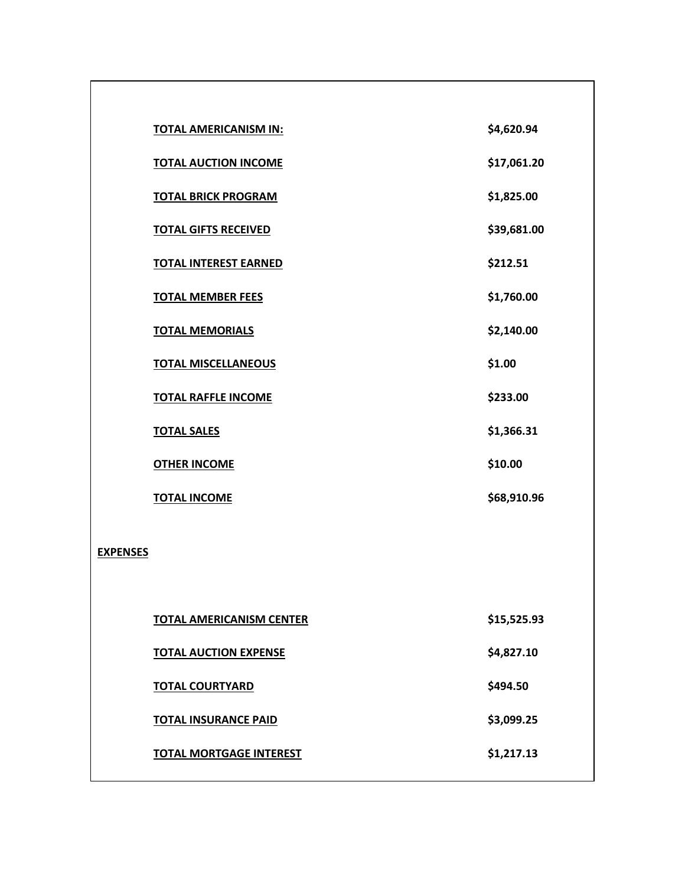|                 | <b>TOTAL AMERICANISM IN:</b>    | \$4,620.94  |
|-----------------|---------------------------------|-------------|
|                 | <b>TOTAL AUCTION INCOME</b>     | \$17,061.20 |
|                 | <b>TOTAL BRICK PROGRAM</b>      | \$1,825.00  |
|                 | <b>TOTAL GIFTS RECEIVED</b>     | \$39,681.00 |
|                 | <b>TOTAL INTEREST EARNED</b>    | \$212.51    |
|                 | <b>TOTAL MEMBER FEES</b>        | \$1,760.00  |
|                 | <b>TOTAL MEMORIALS</b>          | \$2,140.00  |
|                 | <b>TOTAL MISCELLANEOUS</b>      | \$1.00      |
|                 | <b>TOTAL RAFFLE INCOME</b>      | \$233.00    |
|                 | <b>TOTAL SALES</b>              | \$1,366.31  |
|                 | <b>OTHER INCOME</b>             | \$10.00     |
|                 | <b>TOTAL INCOME</b>             | \$68,910.96 |
|                 |                                 |             |
| <b>EXPENSES</b> |                                 |             |
|                 |                                 |             |
|                 | <b>TOTAL AMERICANISM CENTER</b> | \$15,525.93 |
|                 | <b>TOTAL AUCTION EXPENSE</b>    | \$4,827.10  |
|                 | <b>TOTAL COURTYARD</b>          | \$494.50    |
|                 | <b>TOTAL INSURANCE PAID</b>     | \$3,099.25  |
|                 | <b>TOTAL MORTGAGE INTEREST</b>  | \$1,217.13  |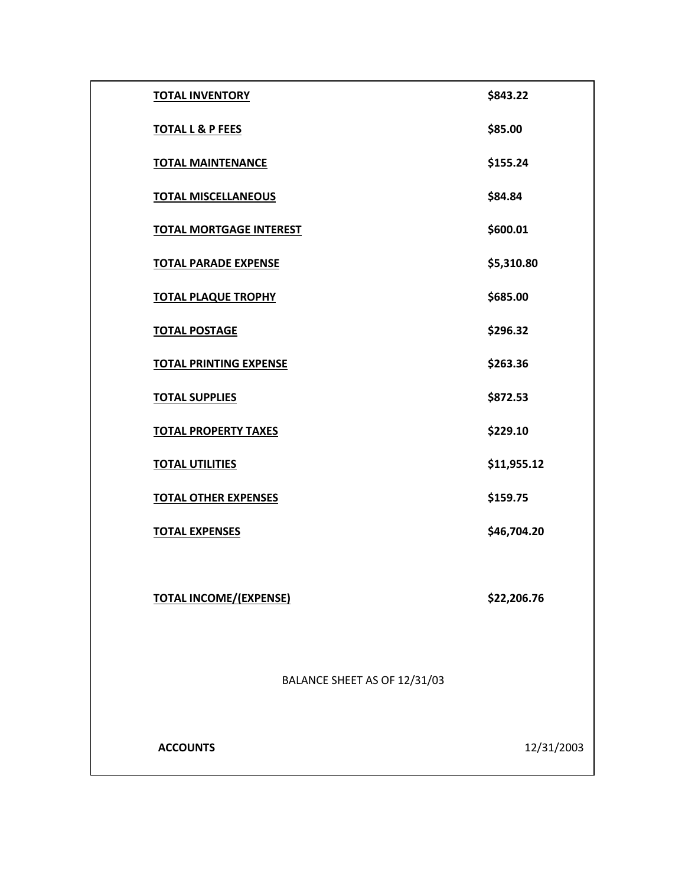| <b>TOTAL INVENTORY</b>         | \$843.22    |
|--------------------------------|-------------|
| <b>TOTAL L &amp; P FEES</b>    | \$85.00     |
| <b>TOTAL MAINTENANCE</b>       | \$155.24    |
| <b>TOTAL MISCELLANEOUS</b>     | \$84.84     |
| <b>TOTAL MORTGAGE INTEREST</b> | \$600.01    |
| <b>TOTAL PARADE EXPENSE</b>    | \$5,310.80  |
| <b>TOTAL PLAQUE TROPHY</b>     | \$685.00    |
| <b>TOTAL POSTAGE</b>           | \$296.32    |
| <b>TOTAL PRINTING EXPENSE</b>  | \$263.36    |
| <b>TOTAL SUPPLIES</b>          | \$872.53    |
| <b>TOTAL PROPERTY TAXES</b>    | \$229.10    |
| <b>TOTAL UTILITIES</b>         | \$11,955.12 |
| <b>TOTAL OTHER EXPENSES</b>    | \$159.75    |
| <b>TOTAL EXPENSES</b>          | \$46,704.20 |
|                                |             |
| <b>TOTAL INCOME/(EXPENSE)</b>  | \$22,206.76 |
|                                |             |
| BALANCE SHEET AS OF 12/31/03   |             |
|                                |             |
| <b>ACCOUNTS</b>                | 12/31/2003  |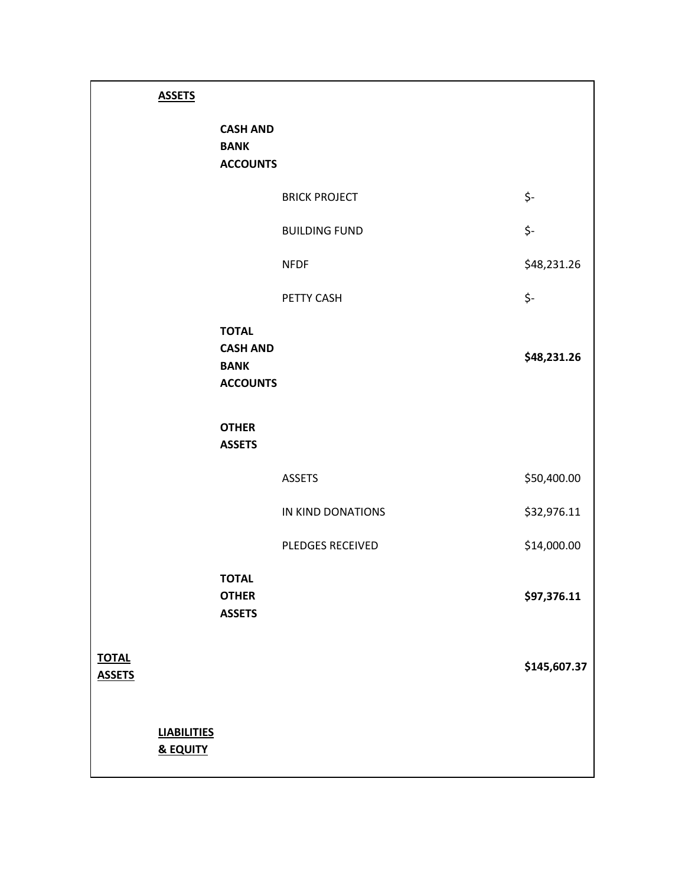|                               | <b>ASSETS</b>                             |                                                                   |                      |              |
|-------------------------------|-------------------------------------------|-------------------------------------------------------------------|----------------------|--------------|
|                               |                                           | <b>CASH AND</b><br><b>BANK</b><br><b>ACCOUNTS</b>                 |                      |              |
|                               |                                           |                                                                   | <b>BRICK PROJECT</b> | \$-          |
|                               |                                           |                                                                   | <b>BUILDING FUND</b> | \$-          |
|                               |                                           |                                                                   | <b>NFDF</b>          | \$48,231.26  |
|                               |                                           |                                                                   | PETTY CASH           | \$-          |
|                               |                                           | <b>TOTAL</b><br><b>CASH AND</b><br><b>BANK</b><br><b>ACCOUNTS</b> |                      | \$48,231.26  |
|                               |                                           | <b>OTHER</b><br><b>ASSETS</b>                                     |                      |              |
|                               |                                           |                                                                   | <b>ASSETS</b>        | \$50,400.00  |
|                               |                                           |                                                                   | IN KIND DONATIONS    | \$32,976.11  |
|                               |                                           |                                                                   | PLEDGES RECEIVED     | \$14,000.00  |
|                               |                                           | <b>TOTAL</b><br><b>OTHER</b><br><b>ASSETS</b>                     |                      | \$97,376.11  |
| <b>TOTAL</b><br><b>ASSETS</b> |                                           |                                                                   |                      | \$145,607.37 |
|                               | <b>LIABILITIES</b><br><b>&amp; EQUITY</b> |                                                                   |                      |              |